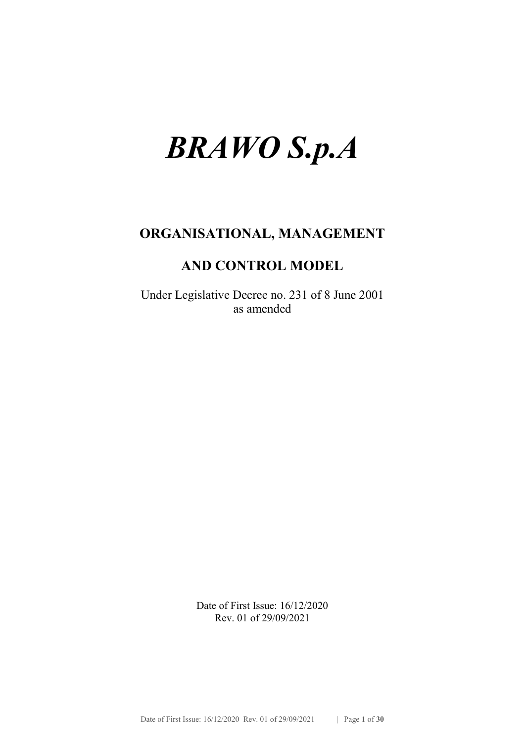# BRAWO S.p.A

## ORGANISATIONAL, MANAGEMENT

## AND CONTROL MODEL

Under Legislative Decree no. 231 of 8 June 2001 as amended

> Date of First Issue: 16/12/2020 Rev. 01 of 29/09/2021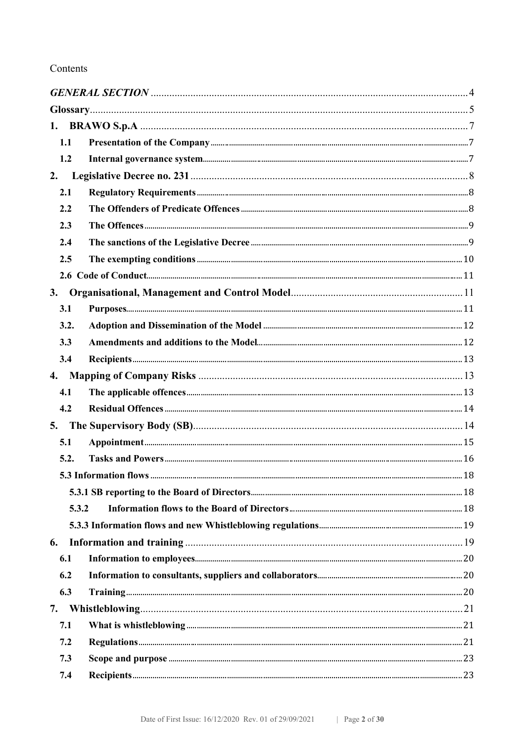#### Contents

| 1.1   |  |  |
|-------|--|--|
| 1.2   |  |  |
| 2.    |  |  |
| 2.1   |  |  |
| 2.2   |  |  |
| 2.3   |  |  |
| 2.4   |  |  |
| 2.5   |  |  |
|       |  |  |
| 3.    |  |  |
| 3.1   |  |  |
| 3.2.  |  |  |
| 3.3   |  |  |
| 3.4   |  |  |
|       |  |  |
| 4.1   |  |  |
| 4.2   |  |  |
|       |  |  |
| 5.1   |  |  |
| 5.2.  |  |  |
|       |  |  |
|       |  |  |
| 5.3.2 |  |  |
|       |  |  |
| 6.    |  |  |
| 6.1   |  |  |
| 6.2   |  |  |
| 6.3   |  |  |
| 7.    |  |  |
| 7.1   |  |  |
| 7.2   |  |  |
| 7.3   |  |  |
| 7.4   |  |  |
|       |  |  |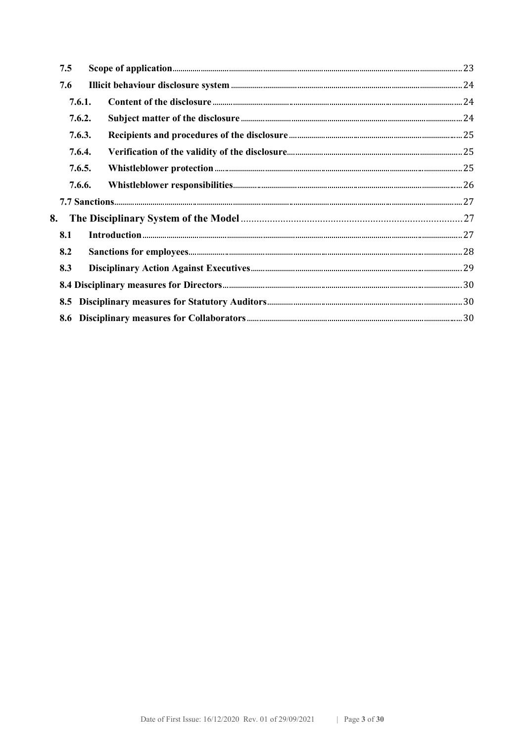| 7.5    |  |  |  |
|--------|--|--|--|
| 7.6    |  |  |  |
| 7.6.1. |  |  |  |
| 7.6.2. |  |  |  |
| 7.6.3. |  |  |  |
| 7.6.4. |  |  |  |
| 7.6.5. |  |  |  |
| 7.6.6. |  |  |  |
|        |  |  |  |
| 8.     |  |  |  |
| 8.1    |  |  |  |
| 8.2    |  |  |  |
| 8.3    |  |  |  |
|        |  |  |  |
|        |  |  |  |
|        |  |  |  |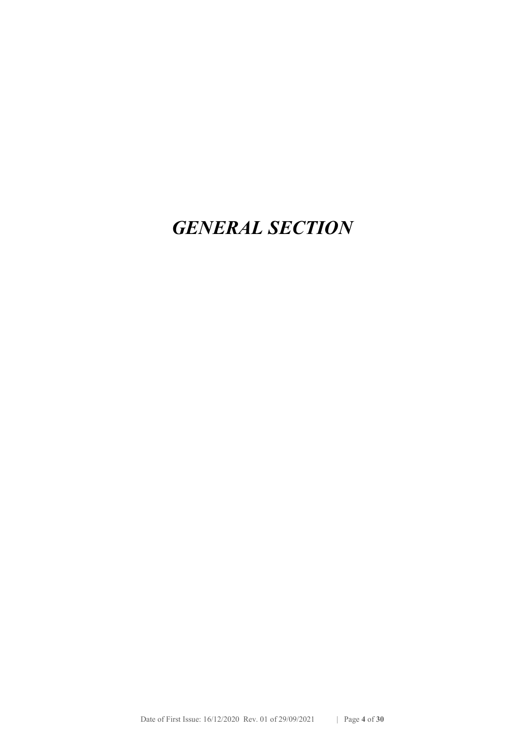## GENERAL SECTION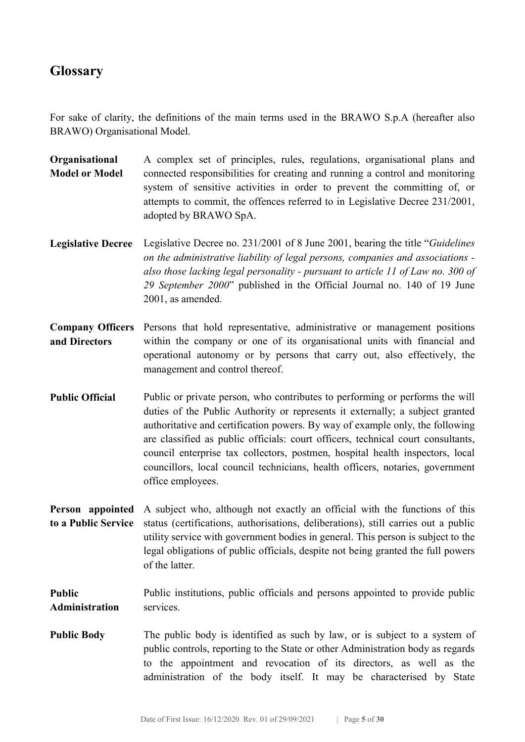## **Glossary**

For sake of clarity, the definitions of the main terms used in the BRAWO S.p.A (hereafter also BRAWO) Organisational Model.

- **Organisational** Model or Model A complex set of principles, rules, regulations, organisational plans and connected responsibilities for creating and running a control and monitoring system of sensitive activities in order to prevent the committing of, or attempts to commit, the offences referred to in Legislative Decree 231/2001, adopted by BRAWO SpA.
- Legislative Decree Legislative Decree no. 231/2001 of 8 June 2001, bearing the title "Guidelines on the administrative liability of legal persons, companies and associations also those lacking legal personality - pursuant to article 11 of Law no. 300 of 29 September 2000" published in the Official Journal no. 140 of 19 June 2001, as amended.
- Company Officers Persons that hold representative, administrative or management positions and Directors within the company or one of its organisational units with financial and operational autonomy or by persons that carry out, also effectively, the management and control thereof.
- Public Official Public or private person, who contributes to performing or performs the will duties of the Public Authority or represents it externally; a subject granted authoritative and certification powers. By way of example only, the following are classified as public officials: court officers, technical court consultants, council enterprise tax collectors, postmen, hospital health inspectors, local councillors, local council technicians, health officers, notaries, government office employees.
- Person appointed A subject who, although not exactly an official with the functions of this to a Public Service status (certifications, authorisations, deliberations), still carries out a public utility service with government bodies in general. This person is subject to the legal obligations of public officials, despite not being granted the full powers of the latter.
- Public Administration Public institutions, public officials and persons appointed to provide public services.
- Public Body The public body is identified as such by law, or is subject to a system of public controls, reporting to the State or other Administration body as regards to the appointment and revocation of its directors, as well as the administration of the body itself. It may be characterised by State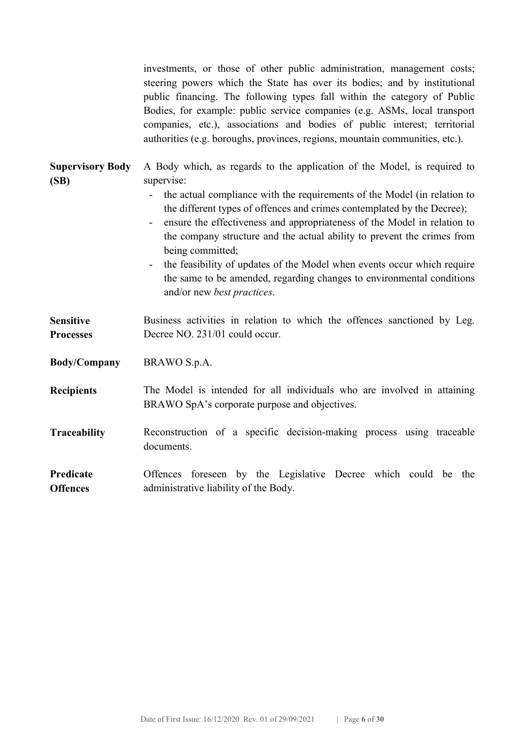investments, or those of other public administration, management costs; steering powers which the State has over its bodies; and by institutional public financing. The following types fall within the category of Public Bodies, for example: public service companies (e.g. ASMs, local transport companies, etc.), associations and bodies of public interest; territorial authorities (e.g. boroughs, provinces, regions, mountain communities, etc.).

| A Body which, as regards to the application of the Model, is required to                                                                            |
|-----------------------------------------------------------------------------------------------------------------------------------------------------|
| supervise:                                                                                                                                          |
| the actual compliance with the requirements of the Model (in relation to                                                                            |
| the different types of offences and crimes contemplated by the Decree);                                                                             |
| ensure the effectiveness and appropriateness of the Model in relation to<br>the company structure and the actual ability to prevent the crimes from |
| being committed;                                                                                                                                    |
| the feasibility of updates of the Model when events occur which require                                                                             |
| the same to be amended, regarding changes to environmental conditions                                                                               |
| and/or new <i>best practices</i> .                                                                                                                  |
|                                                                                                                                                     |
| Business activities in relation to which the offences sanctioned by Leg.<br>Decree NO. 231/01 could occur.                                          |
|                                                                                                                                                     |
| BRAWO S.p.A.                                                                                                                                        |
| The Model is intended for all individuals who are involved in attaining                                                                             |
| BRAWO SpA's corporate purpose and objectives.                                                                                                       |
| Reconstruction of a specific decision-making process using traceable                                                                                |
| documents.                                                                                                                                          |
|                                                                                                                                                     |
| Offences foreseen by the Legislative Decree which could be the                                                                                      |
|                                                                                                                                                     |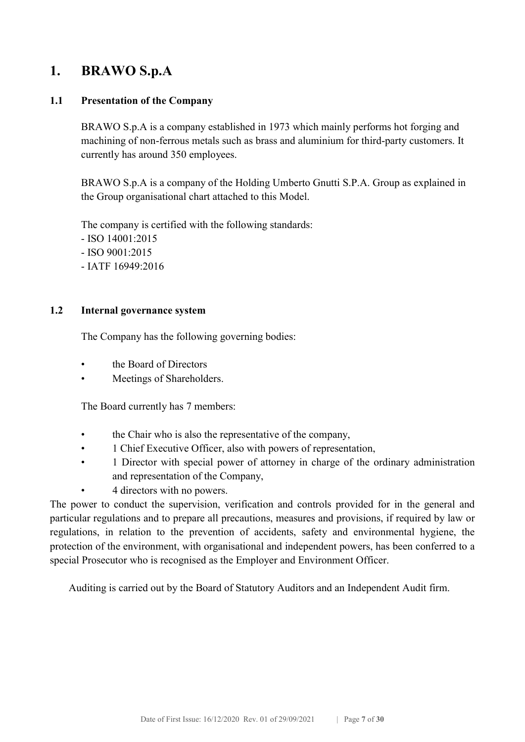## 1. BRAWO S.p.A

#### 1.1 Presentation of the Company

BRAWO S.p.A is a company established in 1973 which mainly performs hot forging and machining of non-ferrous metals such as brass and aluminium for third-party customers. It currently has around 350 employees.

BRAWO S.p.A is a company of the Holding Umberto Gnutti S.P.A. Group as explained in the Group organisational chart attached to this Model.

The company is certified with the following standards: - ISO 14001:2015 - ISO 9001:2015 - IATF 16949:2016

#### 1.2 Internal governance system

The Company has the following governing bodies:

- the Board of Directors
- Meetings of Shareholders.

The Board currently has 7 members:

- the Chair who is also the representative of the company,
- 1 Chief Executive Officer, also with powers of representation,
- 1 Director with special power of attorney in charge of the ordinary administration and representation of the Company,
- 4 directors with no powers.

The power to conduct the supervision, verification and controls provided for in the general and particular regulations and to prepare all precautions, measures and provisions, if required by law or regulations, in relation to the prevention of accidents, safety and environmental hygiene, the protection of the environment, with organisational and independent powers, has been conferred to a special Prosecutor who is recognised as the Employer and Environment Officer.

Auditing is carried out by the Board of Statutory Auditors and an Independent Audit firm.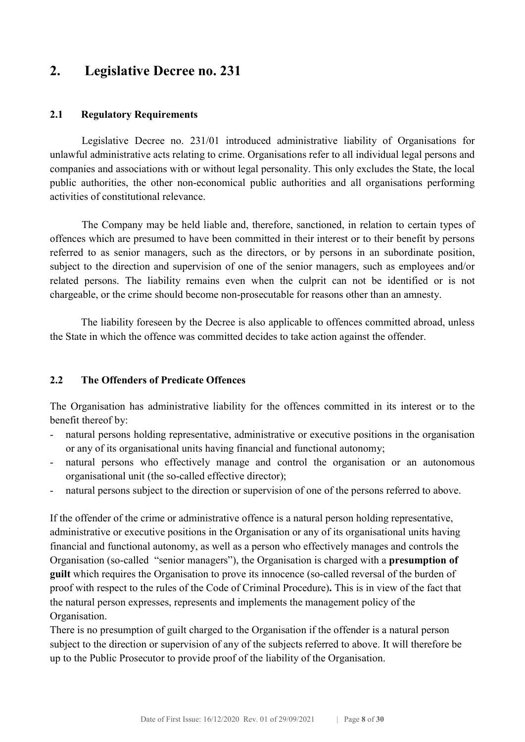## 2. Legislative Decree no. 231

#### 2.1 Regulatory Requirements

Legislative Decree no. 231/01 introduced administrative liability of Organisations for unlawful administrative acts relating to crime. Organisations refer to all individual legal persons and companies and associations with or without legal personality. This only excludes the State, the local public authorities, the other non-economical public authorities and all organisations performing activities of constitutional relevance.

The Company may be held liable and, therefore, sanctioned, in relation to certain types of offences which are presumed to have been committed in their interest or to their benefit by persons referred to as senior managers, such as the directors, or by persons in an subordinate position, subject to the direction and supervision of one of the senior managers, such as employees and/or related persons. The liability remains even when the culprit can not be identified or is not chargeable, or the crime should become non-prosecutable for reasons other than an amnesty.

The liability foreseen by the Decree is also applicable to offences committed abroad, unless the State in which the offence was committed decides to take action against the offender.

#### 2.2 The Offenders of Predicate Offences

The Organisation has administrative liability for the offences committed in its interest or to the benefit thereof by:

- natural persons holding representative, administrative or executive positions in the organisation or any of its organisational units having financial and functional autonomy;
- natural persons who effectively manage and control the organisation or an autonomous organisational unit (the so-called effective director);
- natural persons subject to the direction or supervision of one of the persons referred to above.

If the offender of the crime or administrative offence is a natural person holding representative, administrative or executive positions in the Organisation or any of its organisational units having financial and functional autonomy, as well as a person who effectively manages and controls the Organisation (so-called "senior managers"), the Organisation is charged with a presumption of guilt which requires the Organisation to prove its innocence (so-called reversal of the burden of proof with respect to the rules of the Code of Criminal Procedure). This is in view of the fact that the natural person expresses, represents and implements the management policy of the Organisation.

There is no presumption of guilt charged to the Organisation if the offender is a natural person subject to the direction or supervision of any of the subjects referred to above. It will therefore be up to the Public Prosecutor to provide proof of the liability of the Organisation.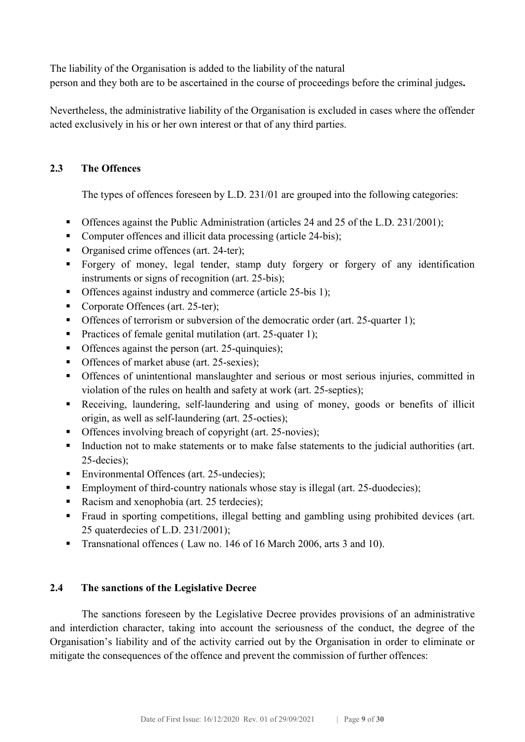The liability of the Organisation is added to the liability of the natural

person and they both are to be ascertained in the course of proceedings before the criminal judges.

Nevertheless, the administrative liability of the Organisation is excluded in cases where the offender acted exclusively in his or her own interest or that of any third parties.

#### 2.3 The Offences

The types of offences foreseen by L.D. 231/01 are grouped into the following categories:

- Offences against the Public Administration (articles 24 and 25 of the L.D. 231/2001);
- Computer offences and illicit data processing (article 24-bis);
- Organised crime offences (art. 24-ter);
- Forgery of money, legal tender, stamp duty forgery or forgery of any identification instruments or signs of recognition (art. 25-bis);
- Offences against industry and commerce (article 25-bis 1);
- Corporate Offences (art. 25-ter);
- Offences of terrorism or subversion of the democratic order (art. 25-quarter 1);
- Practices of female genital mutilation (art. 25-quater 1);
- Offences against the person (art. 25-quinquies);
- Offences of market abuse (art. 25-sexies):
- Offences of unintentional manslaughter and serious or most serious injuries, committed in violation of the rules on health and safety at work (art. 25-septies);
- Receiving, laundering, self-laundering and using of money, goods or benefits of illicit origin, as well as self-laundering (art. 25-octies);
- Offences involving breach of copyright (art. 25-novies);
- Induction not to make statements or to make false statements to the judicial authorities (art. 25-decies);
- Environmental Offences (art. 25-undecies);
- Employment of third-country nationals whose stay is illegal (art. 25-duodecies);
- Racism and xenophobia (art. 25 terdecies);
- Fraud in sporting competitions, illegal betting and gambling using prohibited devices (art. 25 quaterdecies of L.D. 231/2001);
- Transnational offences (Law no. 146 of 16 March 2006, arts 3 and 10).

#### 2.4 The sanctions of the Legislative Decree

The sanctions foreseen by the Legislative Decree provides provisions of an administrative and interdiction character, taking into account the seriousness of the conduct, the degree of the Organisation's liability and of the activity carried out by the Organisation in order to eliminate or mitigate the consequences of the offence and prevent the commission of further offences: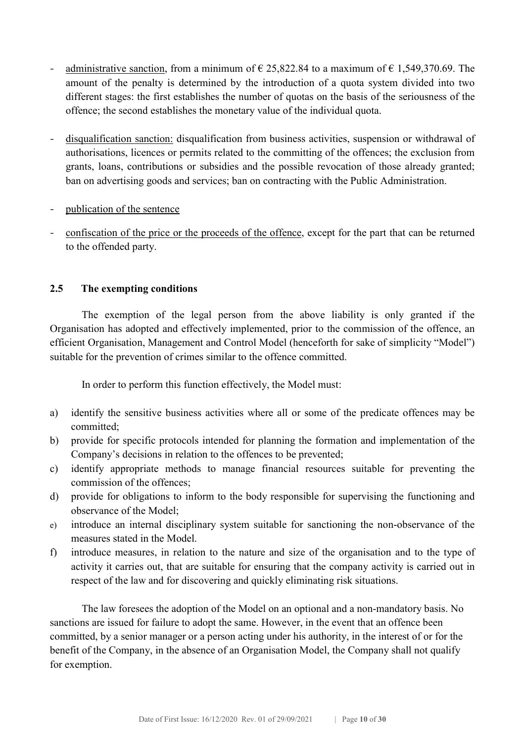- administrative sanction, from a minimum of  $\epsilon$  25,822.84 to a maximum of  $\epsilon$  1,549,370.69. The amount of the penalty is determined by the introduction of a quota system divided into two different stages: the first establishes the number of quotas on the basis of the seriousness of the offence; the second establishes the monetary value of the individual quota.
- disqualification sanction: disqualification from business activities, suspension or withdrawal of authorisations, licences or permits related to the committing of the offences; the exclusion from grants, loans, contributions or subsidies and the possible revocation of those already granted; ban on advertising goods and services; ban on contracting with the Public Administration.
- publication of the sentence
- confiscation of the price or the proceeds of the offence, except for the part that can be returned to the offended party.

#### 2.5 The exempting conditions

The exemption of the legal person from the above liability is only granted if the Organisation has adopted and effectively implemented, prior to the commission of the offence, an efficient Organisation, Management and Control Model (henceforth for sake of simplicity "Model") suitable for the prevention of crimes similar to the offence committed.

In order to perform this function effectively, the Model must:

- a) identify the sensitive business activities where all or some of the predicate offences may be committed;
- b) provide for specific protocols intended for planning the formation and implementation of the Company's decisions in relation to the offences to be prevented;
- c) identify appropriate methods to manage financial resources suitable for preventing the commission of the offences;
- d) provide for obligations to inform to the body responsible for supervising the functioning and observance of the Model;
- e) introduce an internal disciplinary system suitable for sanctioning the non-observance of the measures stated in the Model.
- f) introduce measures, in relation to the nature and size of the organisation and to the type of activity it carries out, that are suitable for ensuring that the company activity is carried out in respect of the law and for discovering and quickly eliminating risk situations.

The law foresees the adoption of the Model on an optional and a non-mandatory basis. No sanctions are issued for failure to adopt the same. However, in the event that an offence been committed, by a senior manager or a person acting under his authority, in the interest of or for the benefit of the Company, in the absence of an Organisation Model, the Company shall not qualify for exemption.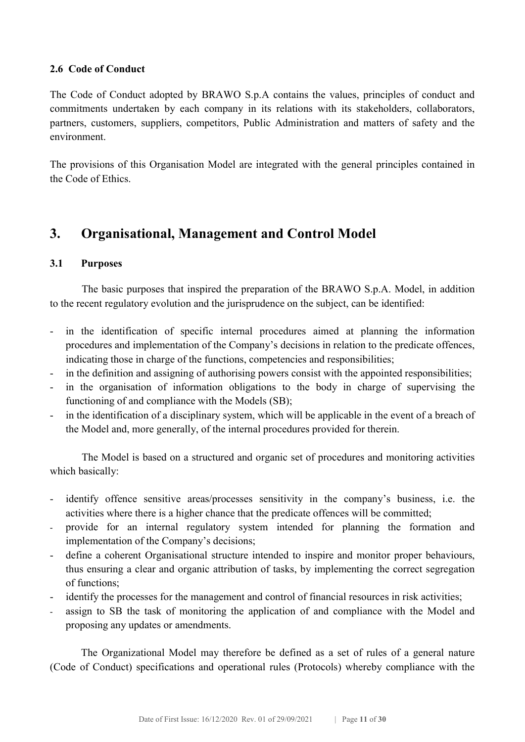#### 2.6 Code of Conduct

The Code of Conduct adopted by BRAWO S.p.A contains the values, principles of conduct and commitments undertaken by each company in its relations with its stakeholders, collaborators, partners, customers, suppliers, competitors, Public Administration and matters of safety and the environment.

The provisions of this Organisation Model are integrated with the general principles contained in the Code of Ethics.

## 3. Organisational, Management and Control Model

#### 3.1 Purposes

The basic purposes that inspired the preparation of the BRAWO S.p.A. Model, in addition to the recent regulatory evolution and the jurisprudence on the subject, can be identified:

- in the identification of specific internal procedures aimed at planning the information procedures and implementation of the Company's decisions in relation to the predicate offences, indicating those in charge of the functions, competencies and responsibilities;
- in the definition and assigning of authorising powers consist with the appointed responsibilities;
- in the organisation of information obligations to the body in charge of supervising the functioning of and compliance with the Models (SB);
- in the identification of a disciplinary system, which will be applicable in the event of a breach of the Model and, more generally, of the internal procedures provided for therein.

The Model is based on a structured and organic set of procedures and monitoring activities which basically:

- identify offence sensitive areas/processes sensitivity in the company's business, i.e. the activities where there is a higher chance that the predicate offences will be committed;
- provide for an internal regulatory system intended for planning the formation and implementation of the Company's decisions;
- define a coherent Organisational structure intended to inspire and monitor proper behaviours, thus ensuring a clear and organic attribution of tasks, by implementing the correct segregation of functions;
- identify the processes for the management and control of financial resources in risk activities;
- assign to SB the task of monitoring the application of and compliance with the Model and proposing any updates or amendments.

The Organizational Model may therefore be defined as a set of rules of a general nature (Code of Conduct) specifications and operational rules (Protocols) whereby compliance with the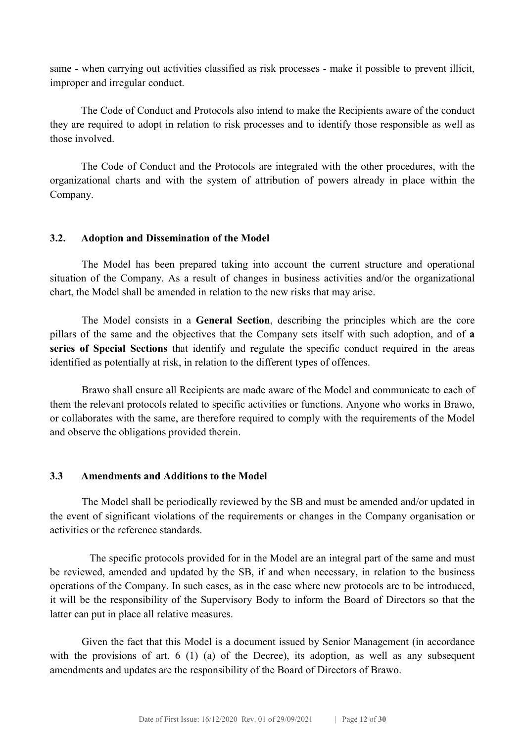same - when carrying out activities classified as risk processes - make it possible to prevent illicit, improper and irregular conduct.

The Code of Conduct and Protocols also intend to make the Recipients aware of the conduct they are required to adopt in relation to risk processes and to identify those responsible as well as those involved.

The Code of Conduct and the Protocols are integrated with the other procedures, with the organizational charts and with the system of attribution of powers already in place within the Company.

#### 3.2. Adoption and Dissemination of the Model

The Model has been prepared taking into account the current structure and operational situation of the Company. As a result of changes in business activities and/or the organizational chart, the Model shall be amended in relation to the new risks that may arise.

The Model consists in a General Section, describing the principles which are the core pillars of the same and the objectives that the Company sets itself with such adoption, and of a series of Special Sections that identify and regulate the specific conduct required in the areas identified as potentially at risk, in relation to the different types of offences.

Brawo shall ensure all Recipients are made aware of the Model and communicate to each of them the relevant protocols related to specific activities or functions. Anyone who works in Brawo, or collaborates with the same, are therefore required to comply with the requirements of the Model and observe the obligations provided therein.

#### 3.3 Amendments and Additions to the Model

The Model shall be periodically reviewed by the SB and must be amended and/or updated in the event of significant violations of the requirements or changes in the Company organisation or activities or the reference standards.

The specific protocols provided for in the Model are an integral part of the same and must be reviewed, amended and updated by the SB, if and when necessary, in relation to the business operations of the Company. In such cases, as in the case where new protocols are to be introduced, it will be the responsibility of the Supervisory Body to inform the Board of Directors so that the latter can put in place all relative measures.

Given the fact that this Model is a document issued by Senior Management (in accordance with the provisions of art. 6 (1) (a) of the Decree), its adoption, as well as any subsequent amendments and updates are the responsibility of the Board of Directors of Brawo.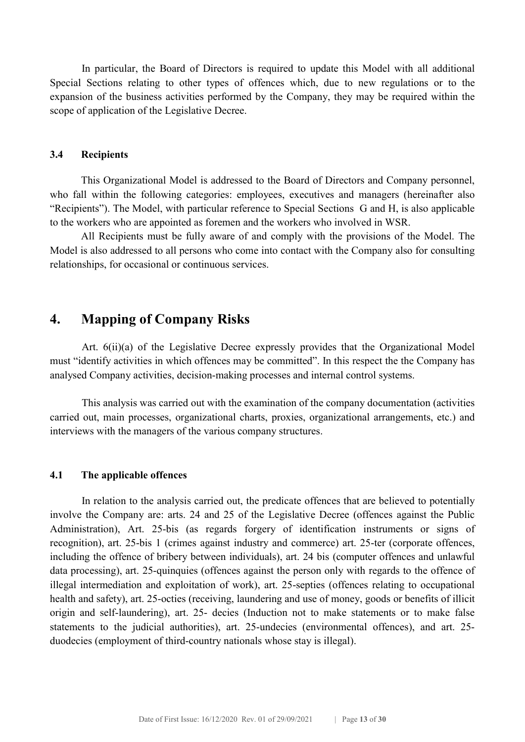In particular, the Board of Directors is required to update this Model with all additional Special Sections relating to other types of offences which, due to new regulations or to the expansion of the business activities performed by the Company, they may be required within the scope of application of the Legislative Decree.

#### 3.4 Recipients

 This Organizational Model is addressed to the Board of Directors and Company personnel, who fall within the following categories: employees, executives and managers (hereinafter also "Recipients"). The Model, with particular reference to Special Sections G and H, is also applicable to the workers who are appointed as foremen and the workers who involved in WSR.

 All Recipients must be fully aware of and comply with the provisions of the Model. The Model is also addressed to all persons who come into contact with the Company also for consulting relationships, for occasional or continuous services.

### 4. Mapping of Company Risks

Art. 6(ii)(a) of the Legislative Decree expressly provides that the Organizational Model must "identify activities in which offences may be committed". In this respect the the Company has analysed Company activities, decision-making processes and internal control systems.

This analysis was carried out with the examination of the company documentation (activities carried out, main processes, organizational charts, proxies, organizational arrangements, etc.) and interviews with the managers of the various company structures.

#### 4.1 The applicable offences

In relation to the analysis carried out, the predicate offences that are believed to potentially involve the Company are: arts. 24 and 25 of the Legislative Decree (offences against the Public Administration), Art. 25-bis (as regards forgery of identification instruments or signs of recognition), art. 25-bis 1 (crimes against industry and commerce) art. 25-ter (corporate offences, including the offence of bribery between individuals), art. 24 bis (computer offences and unlawful data processing), art. 25-quinquies (offences against the person only with regards to the offence of illegal intermediation and exploitation of work), art. 25-septies (offences relating to occupational health and safety), art. 25-octies (receiving, laundering and use of money, goods or benefits of illicit origin and self-laundering), art. 25- decies (Induction not to make statements or to make false statements to the judicial authorities), art. 25-undecies (environmental offences), and art. 25 duodecies (employment of third-country nationals whose stay is illegal).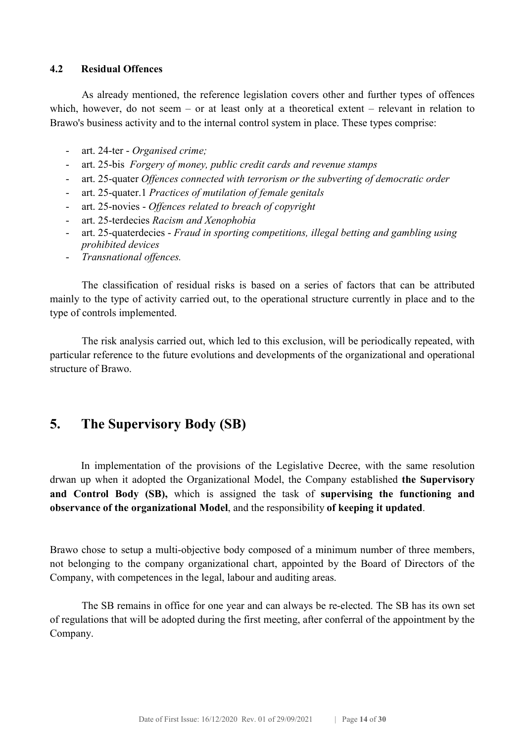#### 4.2 Residual Offences

As already mentioned, the reference legislation covers other and further types of offences which, however, do not seem – or at least only at a theoretical extent – relevant in relation to Brawo's business activity and to the internal control system in place. These types comprise:

- art. 24-ter Organised crime;
- art. 25-bis Forgery of money, public credit cards and revenue stamps
- art. 25-quater Offences connected with terrorism or the subverting of democratic order
- art. 25-quater.1 Practices of mutilation of female genitals
- art. 25-novies Offences related to breach of copyright
- art. 25-terdecies Racism and Xenophobia
- art. 25-quaterdecies Fraud in sporting competitions, illegal betting and gambling using prohibited devices
- Transnational offences.

The classification of residual risks is based on a series of factors that can be attributed mainly to the type of activity carried out, to the operational structure currently in place and to the type of controls implemented.

The risk analysis carried out, which led to this exclusion, will be periodically repeated, with particular reference to the future evolutions and developments of the organizational and operational structure of Brawo.

## 5. The Supervisory Body (SB)

In implementation of the provisions of the Legislative Decree, with the same resolution drwan up when it adopted the Organizational Model, the Company established the Supervisory and Control Body (SB), which is assigned the task of supervising the functioning and observance of the organizational Model, and the responsibility of keeping it updated.

Brawo chose to setup a multi-objective body composed of a minimum number of three members, not belonging to the company organizational chart, appointed by the Board of Directors of the Company, with competences in the legal, labour and auditing areas.

The SB remains in office for one year and can always be re-elected. The SB has its own set of regulations that will be adopted during the first meeting, after conferral of the appointment by the Company.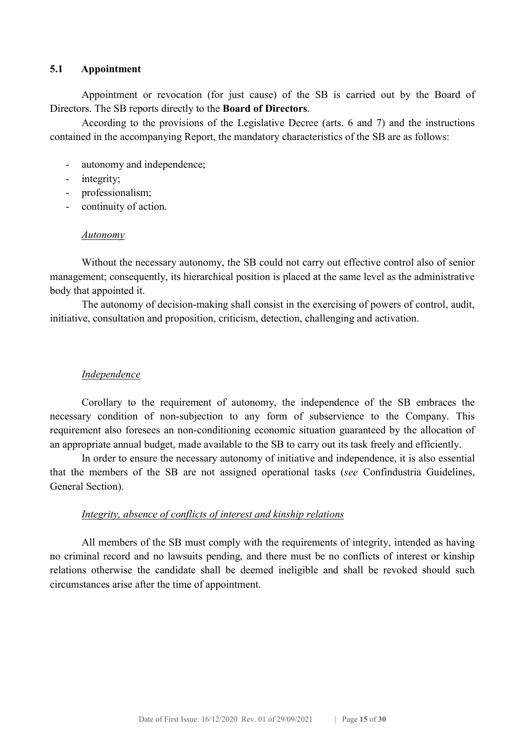#### 5.1 Appointment

Appointment or revocation (for just cause) of the SB is carried out by the Board of Directors. The SB reports directly to the Board of Directors.

According to the provisions of the Legislative Decree (arts. 6 and 7) and the instructions contained in the accompanying Report, the mandatory characteristics of the SB are as follows:

- autonomy and independence;
- integrity;
- professionalism;
- continuity of action.

#### Autonomy

Without the necessary autonomy, the SB could not carry out effective control also of senior management; consequently, its hierarchical position is placed at the same level as the administrative body that appointed it.

The autonomy of decision-making shall consist in the exercising of powers of control, audit, initiative, consultation and proposition, criticism, detection, challenging and activation.

#### **Independence**

Corollary to the requirement of autonomy, the independence of the SB embraces the necessary condition of non-subjection to any form of subservience to the Company. This requirement also foresees an non-conditioning economic situation guaranteed by the allocation of an appropriate annual budget, made available to the SB to carry out its task freely and efficiently.

In order to ensure the necessary autonomy of initiative and independence, it is also essential that the members of the SB are not assigned operational tasks (see Confindustria Guidelines, General Section).

#### Integrity, absence of conflicts of interest and kinship relations

All members of the SB must comply with the requirements of integrity, intended as having no criminal record and no lawsuits pending, and there must be no conflicts of interest or kinship relations otherwise the candidate shall be deemed ineligible and shall be revoked should such circumstances arise after the time of appointment.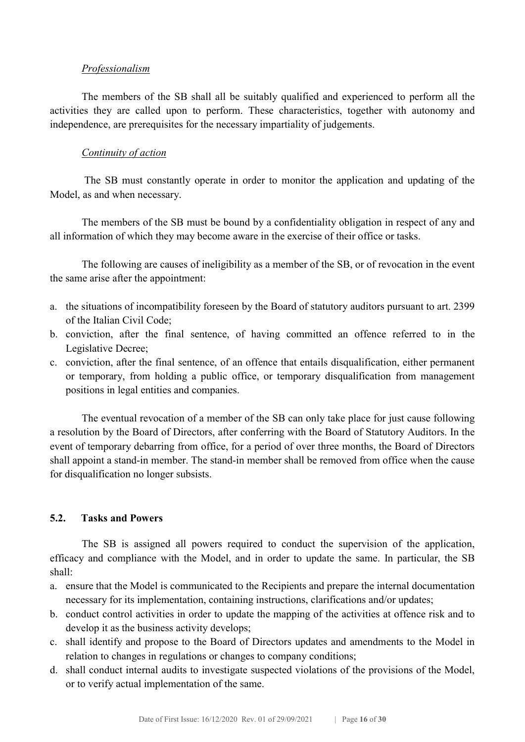#### Professionalism

The members of the SB shall all be suitably qualified and experienced to perform all the activities they are called upon to perform. These characteristics, together with autonomy and independence, are prerequisites for the necessary impartiality of judgements.

#### Continuity of action

The SB must constantly operate in order to monitor the application and updating of the Model, as and when necessary.

The members of the SB must be bound by a confidentiality obligation in respect of any and all information of which they may become aware in the exercise of their office or tasks.

The following are causes of ineligibility as a member of the SB, or of revocation in the event the same arise after the appointment:

- a. the situations of incompatibility foreseen by the Board of statutory auditors pursuant to art. 2399 of the Italian Civil Code;
- b. conviction, after the final sentence, of having committed an offence referred to in the Legislative Decree;
- c. conviction, after the final sentence, of an offence that entails disqualification, either permanent or temporary, from holding a public office, or temporary disqualification from management positions in legal entities and companies.

The eventual revocation of a member of the SB can only take place for just cause following a resolution by the Board of Directors, after conferring with the Board of Statutory Auditors. In the event of temporary debarring from office, for a period of over three months, the Board of Directors shall appoint a stand-in member. The stand-in member shall be removed from office when the cause for disqualification no longer subsists.

#### 5.2. Tasks and Powers

The SB is assigned all powers required to conduct the supervision of the application, efficacy and compliance with the Model, and in order to update the same. In particular, the SB shall:

- a. ensure that the Model is communicated to the Recipients and prepare the internal documentation necessary for its implementation, containing instructions, clarifications and/or updates;
- b. conduct control activities in order to update the mapping of the activities at offence risk and to develop it as the business activity develops;
- c. shall identify and propose to the Board of Directors updates and amendments to the Model in relation to changes in regulations or changes to company conditions;
- d. shall conduct internal audits to investigate suspected violations of the provisions of the Model, or to verify actual implementation of the same.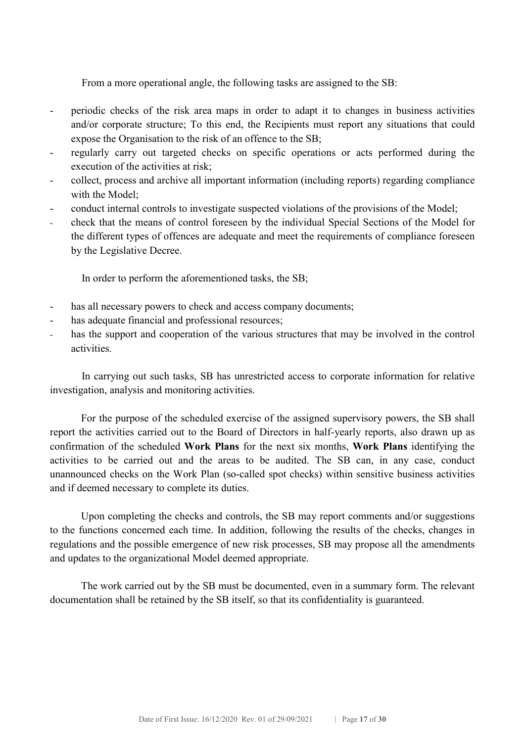From a more operational angle, the following tasks are assigned to the SB:

- periodic checks of the risk area maps in order to adapt it to changes in business activities and/or corporate structure; To this end, the Recipients must report any situations that could expose the Organisation to the risk of an offence to the SB;
- regularly carry out targeted checks on specific operations or acts performed during the execution of the activities at risk;
- collect, process and archive all important information (including reports) regarding compliance with the Model;
- conduct internal controls to investigate suspected violations of the provisions of the Model;
- check that the means of control foreseen by the individual Special Sections of the Model for the different types of offences are adequate and meet the requirements of compliance foreseen by the Legislative Decree.

In order to perform the aforementioned tasks, the SB;

- has all necessary powers to check and access company documents;
- has adequate financial and professional resources;
- has the support and cooperation of the various structures that may be involved in the control activities.

In carrying out such tasks, SB has unrestricted access to corporate information for relative investigation, analysis and monitoring activities.

 For the purpose of the scheduled exercise of the assigned supervisory powers, the SB shall report the activities carried out to the Board of Directors in half-yearly reports, also drawn up as confirmation of the scheduled Work Plans for the next six months, Work Plans identifying the activities to be carried out and the areas to be audited. The SB can, in any case, conduct unannounced checks on the Work Plan (so-called spot checks) within sensitive business activities and if deemed necessary to complete its duties.

 Upon completing the checks and controls, the SB may report comments and/or suggestions to the functions concerned each time. In addition, following the results of the checks, changes in regulations and the possible emergence of new risk processes, SB may propose all the amendments and updates to the organizational Model deemed appropriate.

 The work carried out by the SB must be documented, even in a summary form. The relevant documentation shall be retained by the SB itself, so that its confidentiality is guaranteed.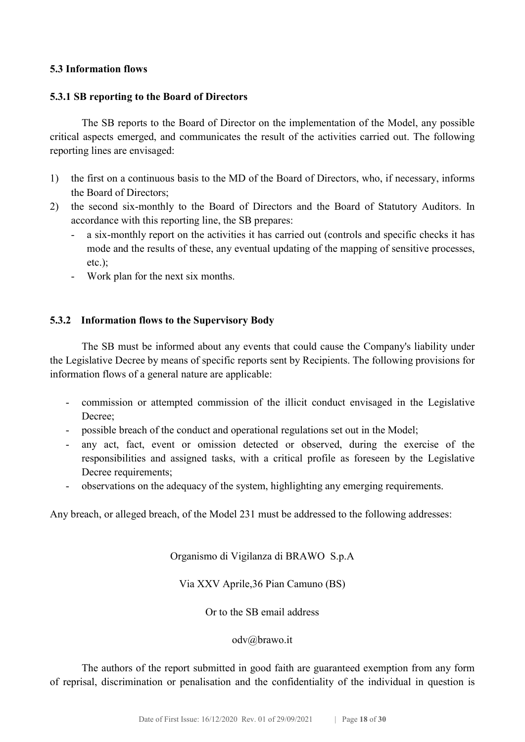#### 5.3 Information flows

#### 5.3.1 SB reporting to the Board of Directors

The SB reports to the Board of Director on the implementation of the Model, any possible critical aspects emerged, and communicates the result of the activities carried out. The following reporting lines are envisaged:

- 1) the first on a continuous basis to the MD of the Board of Directors, who, if necessary, informs the Board of Directors;
- 2) the second six-monthly to the Board of Directors and the Board of Statutory Auditors. In accordance with this reporting line, the SB prepares:
	- a six-monthly report on the activities it has carried out (controls and specific checks it has mode and the results of these, any eventual updating of the mapping of sensitive processes, etc.);
	- Work plan for the next six months.

#### 5.3.2 Information flows to the Supervisory Body

The SB must be informed about any events that could cause the Company's liability under the Legislative Decree by means of specific reports sent by Recipients. The following provisions for information flows of a general nature are applicable:

- commission or attempted commission of the illicit conduct envisaged in the Legislative Decree;
- possible breach of the conduct and operational regulations set out in the Model;
- any act, fact, event or omission detected or observed, during the exercise of the responsibilities and assigned tasks, with a critical profile as foreseen by the Legislative Decree requirements;
- observations on the adequacy of the system, highlighting any emerging requirements.

Any breach, or alleged breach, of the Model 231 must be addressed to the following addresses:

Organismo di Vigilanza di BRAWO S.p.A

Via XXV Aprile,36 Pian Camuno (BS)

Or to the SB email address

odv@brawo.it

The authors of the report submitted in good faith are guaranteed exemption from any form of reprisal, discrimination or penalisation and the confidentiality of the individual in question is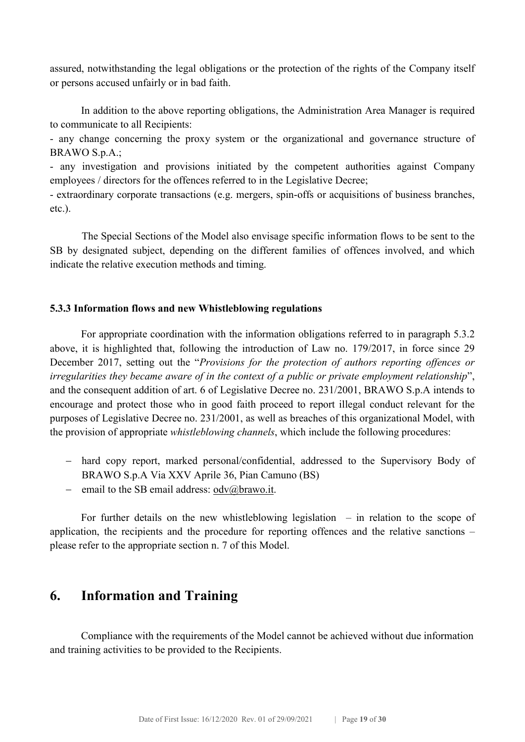assured, notwithstanding the legal obligations or the protection of the rights of the Company itself or persons accused unfairly or in bad faith.

In addition to the above reporting obligations, the Administration Area Manager is required to communicate to all Recipients:

- any change concerning the proxy system or the organizational and governance structure of BRAWO S.p.A.;

- any investigation and provisions initiated by the competent authorities against Company employees / directors for the offences referred to in the Legislative Decree;

- extraordinary corporate transactions (e.g. mergers, spin-offs or acquisitions of business branches, etc.).

The Special Sections of the Model also envisage specific information flows to be sent to the SB by designated subject, depending on the different families of offences involved, and which indicate the relative execution methods and timing.

#### 5.3.3 Information flows and new Whistleblowing regulations

 For appropriate coordination with the information obligations referred to in paragraph 5.3.2 above, it is highlighted that, following the introduction of Law no. 179/2017, in force since 29 December 2017, setting out the "Provisions for the protection of authors reporting offences or irregularities they became aware of in the context of a public or private employment relationship", and the consequent addition of art. 6 of Legislative Decree no. 231/2001, BRAWO S.p.A intends to encourage and protect those who in good faith proceed to report illegal conduct relevant for the purposes of Legislative Decree no. 231/2001, as well as breaches of this organizational Model, with the provision of appropriate whistleblowing channels, which include the following procedures:

- hard copy report, marked personal/confidential, addressed to the Supervisory Body of BRAWO S.p.A Via XXV Aprile 36, Pian Camuno (BS)
- email to the SB email address:  $\text{odv}(a)$ brawo.it.

For further details on the new whistleblowing legislation  $-$  in relation to the scope of application, the recipients and the procedure for reporting offences and the relative sanctions – please refer to the appropriate section n. 7 of this Model.

## 6. Information and Training

Compliance with the requirements of the Model cannot be achieved without due information and training activities to be provided to the Recipients.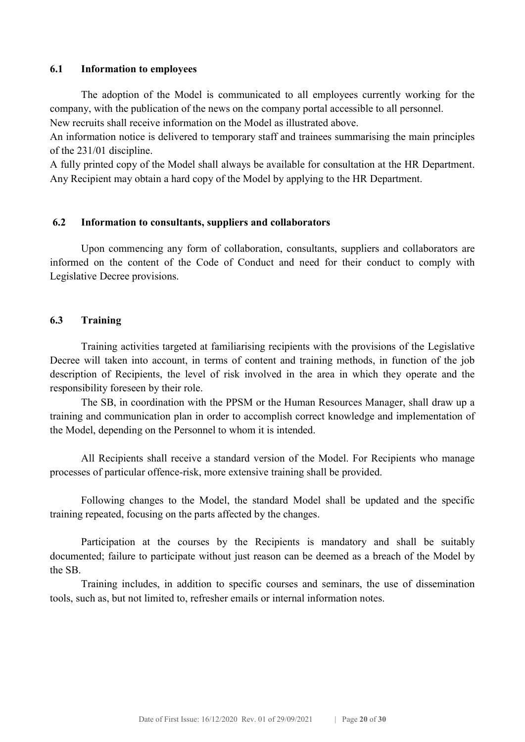#### 6.1 Information to employees

The adoption of the Model is communicated to all employees currently working for the company, with the publication of the news on the company portal accessible to all personnel.

New recruits shall receive information on the Model as illustrated above.

An information notice is delivered to temporary staff and trainees summarising the main principles of the 231/01 discipline.

A fully printed copy of the Model shall always be available for consultation at the HR Department. Any Recipient may obtain a hard copy of the Model by applying to the HR Department.

#### 6.2 Information to consultants, suppliers and collaborators

Upon commencing any form of collaboration, consultants, suppliers and collaborators are informed on the content of the Code of Conduct and need for their conduct to comply with Legislative Decree provisions.

#### 6.3 Training

Training activities targeted at familiarising recipients with the provisions of the Legislative Decree will taken into account, in terms of content and training methods, in function of the job description of Recipients, the level of risk involved in the area in which they operate and the responsibility foreseen by their role.

The SB, in coordination with the PPSM or the Human Resources Manager, shall draw up a training and communication plan in order to accomplish correct knowledge and implementation of the Model, depending on the Personnel to whom it is intended.

All Recipients shall receive a standard version of the Model. For Recipients who manage processes of particular offence-risk, more extensive training shall be provided.

Following changes to the Model, the standard Model shall be updated and the specific training repeated, focusing on the parts affected by the changes.

Participation at the courses by the Recipients is mandatory and shall be suitably documented; failure to participate without just reason can be deemed as a breach of the Model by the SB.

Training includes, in addition to specific courses and seminars, the use of dissemination tools, such as, but not limited to, refresher emails or internal information notes.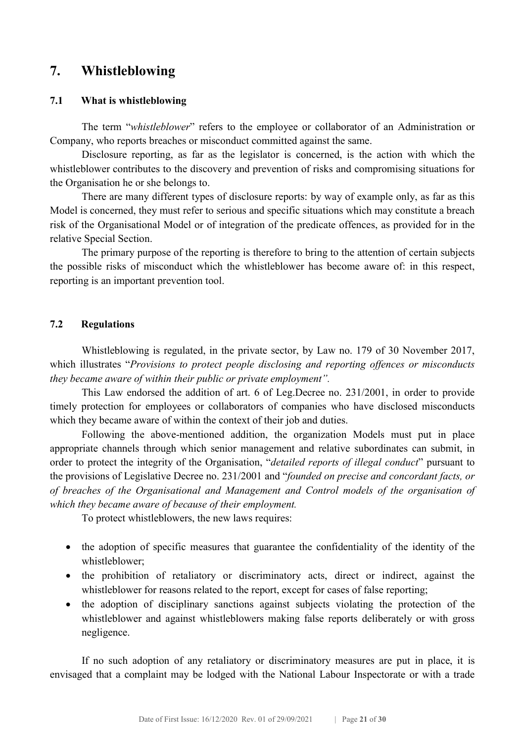## 7. Whistleblowing

#### 7.1 What is whistleblowing

The term "whistleblower" refers to the employee or collaborator of an Administration or Company, who reports breaches or misconduct committed against the same.

 Disclosure reporting, as far as the legislator is concerned, is the action with which the whistleblower contributes to the discovery and prevention of risks and compromising situations for the Organisation he or she belongs to.

 There are many different types of disclosure reports: by way of example only, as far as this Model is concerned, they must refer to serious and specific situations which may constitute a breach risk of the Organisational Model or of integration of the predicate offences, as provided for in the relative Special Section.

 The primary purpose of the reporting is therefore to bring to the attention of certain subjects the possible risks of misconduct which the whistleblower has become aware of: in this respect, reporting is an important prevention tool.

#### 7.2 Regulations

 Whistleblowing is regulated, in the private sector, by Law no. 179 of 30 November 2017, which illustrates "Provisions to protect people disclosing and reporting offences or misconducts they became aware of within their public or private employment".

 This Law endorsed the addition of art. 6 of Leg.Decree no. 231/2001, in order to provide timely protection for employees or collaborators of companies who have disclosed misconducts which they became aware of within the context of their job and duties.

 Following the above-mentioned addition, the organization Models must put in place appropriate channels through which senior management and relative subordinates can submit, in order to protect the integrity of the Organisation, "*detailed reports of illegal conduct*" pursuant to the provisions of Legislative Decree no. 231/2001 and "founded on precise and concordant facts, or of breaches of the Organisational and Management and Control models of the organisation of which they became aware of because of their employment.

To protect whistleblowers, the new laws requires:

- the adoption of specific measures that guarantee the confidentiality of the identity of the whistleblower;
- the prohibition of retaliatory or discriminatory acts, direct or indirect, against the whistleblower for reasons related to the report, except for cases of false reporting;
- the adoption of disciplinary sanctions against subjects violating the protection of the whistleblower and against whistleblowers making false reports deliberately or with gross negligence.

 If no such adoption of any retaliatory or discriminatory measures are put in place, it is envisaged that a complaint may be lodged with the National Labour Inspectorate or with a trade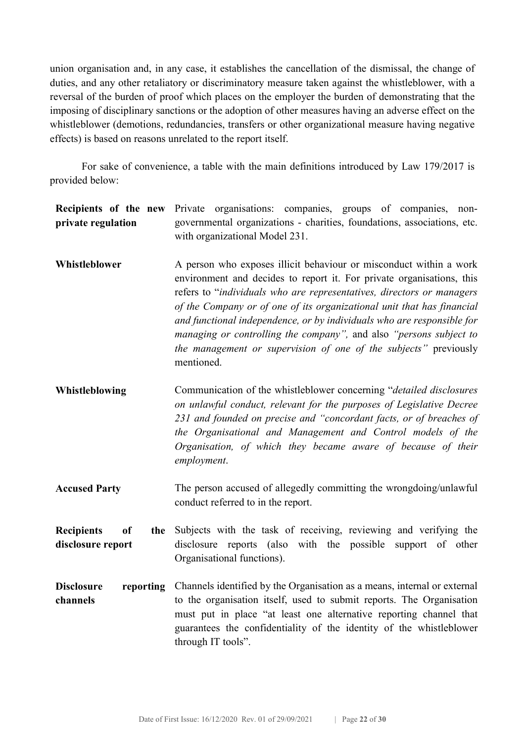union organisation and, in any case, it establishes the cancellation of the dismissal, the change of duties, and any other retaliatory or discriminatory measure taken against the whistleblower, with a reversal of the burden of proof which places on the employer the burden of demonstrating that the imposing of disciplinary sanctions or the adoption of other measures having an adverse effect on the whistleblower (demotions, redundancies, transfers or other organizational measure having negative effects) is based on reasons unrelated to the report itself.

 For sake of convenience, a table with the main definitions introduced by Law 179/2017 is provided below:

| Recipients of the new<br>private regulation                    | Private organisations: companies, groups of companies, non-<br>governmental organizations - charities, foundations, associations, etc.<br>with organizational Model 231.                                                                                                                                                                                                                                                                                                                                                         |  |
|----------------------------------------------------------------|----------------------------------------------------------------------------------------------------------------------------------------------------------------------------------------------------------------------------------------------------------------------------------------------------------------------------------------------------------------------------------------------------------------------------------------------------------------------------------------------------------------------------------|--|
| Whistleblower                                                  | A person who exposes illicit behaviour or misconduct within a work<br>environment and decides to report it. For private organisations, this<br>refers to "individuals who are representatives, directors or managers<br>of the Company or of one of its organizational unit that has financial<br>and functional independence, or by individuals who are responsible for<br>managing or controlling the company", and also "persons subject to<br>the management or supervision of one of the subjects" previously<br>mentioned. |  |
| Whistleblowing                                                 | Communication of the whistleblower concerning "detailed disclosures"<br>on unlawful conduct, relevant for the purposes of Legislative Decree<br>231 and founded on precise and "concordant facts, or of breaches of<br>the Organisational and Management and Control models of the<br>Organisation, of which they became aware of because of their<br>employment.                                                                                                                                                                |  |
| <b>Accused Party</b>                                           | The person accused of allegedly committing the wrongdoing/unlawful<br>conduct referred to in the report.                                                                                                                                                                                                                                                                                                                                                                                                                         |  |
| <b>Recipients</b><br><sub>of</sub><br>the<br>disclosure report | Subjects with the task of receiving, reviewing and verifying the<br>disclosure reports (also with the possible<br>support of other<br>Organisational functions).                                                                                                                                                                                                                                                                                                                                                                 |  |
| <b>Disclosure</b><br>reporting<br>channels                     | Channels identified by the Organisation as a means, internal or external<br>to the organisation itself, used to submit reports. The Organisation<br>must put in place "at least one alternative reporting channel that<br>guarantees the confidentiality of the identity of the whistleblower<br>through IT tools".                                                                                                                                                                                                              |  |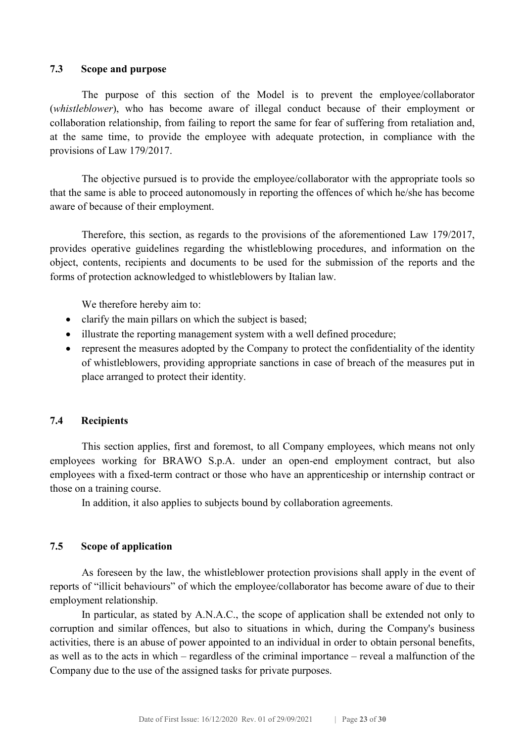#### 7.3 Scope and purpose

 The purpose of this section of the Model is to prevent the employee/collaborator (whistleblower), who has become aware of illegal conduct because of their employment or collaboration relationship, from failing to report the same for fear of suffering from retaliation and, at the same time, to provide the employee with adequate protection, in compliance with the provisions of Law 179/2017.

 The objective pursued is to provide the employee/collaborator with the appropriate tools so that the same is able to proceed autonomously in reporting the offences of which he/she has become aware of because of their employment.

 Therefore, this section, as regards to the provisions of the aforementioned Law 179/2017, provides operative guidelines regarding the whistleblowing procedures, and information on the object, contents, recipients and documents to be used for the submission of the reports and the forms of protection acknowledged to whistleblowers by Italian law.

We therefore hereby aim to:

- clarify the main pillars on which the subject is based;
- illustrate the reporting management system with a well defined procedure;
- represent the measures adopted by the Company to protect the confidentiality of the identity of whistleblowers, providing appropriate sanctions in case of breach of the measures put in place arranged to protect their identity.

#### 7.4 Recipients

 This section applies, first and foremost, to all Company employees, which means not only employees working for BRAWO S.p.A. under an open-end employment contract, but also employees with a fixed-term contract or those who have an apprenticeship or internship contract or those on a training course.

In addition, it also applies to subjects bound by collaboration agreements.

#### 7.5 Scope of application

 As foreseen by the law, the whistleblower protection provisions shall apply in the event of reports of "illicit behaviours" of which the employee/collaborator has become aware of due to their employment relationship.

 In particular, as stated by A.N.A.C., the scope of application shall be extended not only to corruption and similar offences, but also to situations in which, during the Company's business activities, there is an abuse of power appointed to an individual in order to obtain personal benefits, as well as to the acts in which – regardless of the criminal importance – reveal a malfunction of the Company due to the use of the assigned tasks for private purposes.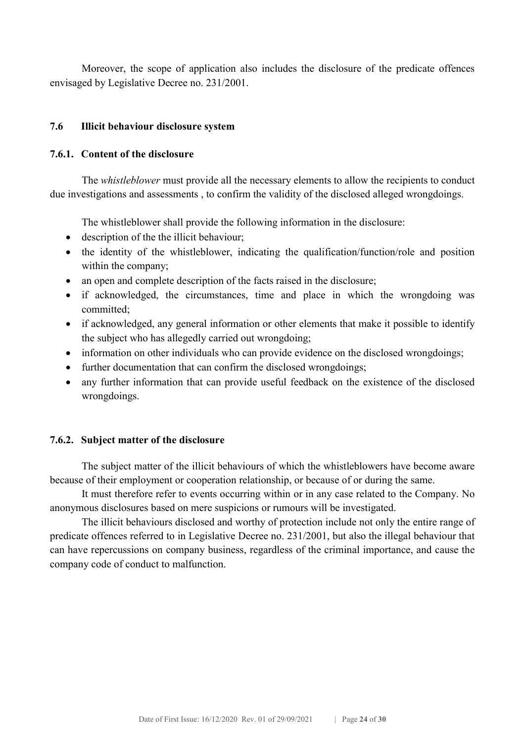Moreover, the scope of application also includes the disclosure of the predicate offences envisaged by Legislative Decree no. 231/2001.

#### 7.6 Illicit behaviour disclosure system

#### 7.6.1. Content of the disclosure

The *whistleblower* must provide all the necessary elements to allow the recipients to conduct due investigations and assessments , to confirm the validity of the disclosed alleged wrongdoings.

The whistleblower shall provide the following information in the disclosure:

- description of the the illicit behaviour;
- the identity of the whistleblower, indicating the qualification/function/role and position within the company;
- an open and complete description of the facts raised in the disclosure;
- if acknowledged, the circumstances, time and place in which the wrongdoing was committed;
- if acknowledged, any general information or other elements that make it possible to identify the subject who has allegedly carried out wrongdoing;
- information on other individuals who can provide evidence on the disclosed wrongdoings;
- further documentation that can confirm the disclosed wrongdoings;
- any further information that can provide useful feedback on the existence of the disclosed wrongdoings.

#### 7.6.2. Subject matter of the disclosure

 The subject matter of the illicit behaviours of which the whistleblowers have become aware because of their employment or cooperation relationship, or because of or during the same.

 It must therefore refer to events occurring within or in any case related to the Company. No anonymous disclosures based on mere suspicions or rumours will be investigated.

 The illicit behaviours disclosed and worthy of protection include not only the entire range of predicate offences referred to in Legislative Decree no. 231/2001, but also the illegal behaviour that can have repercussions on company business, regardless of the criminal importance, and cause the company code of conduct to malfunction.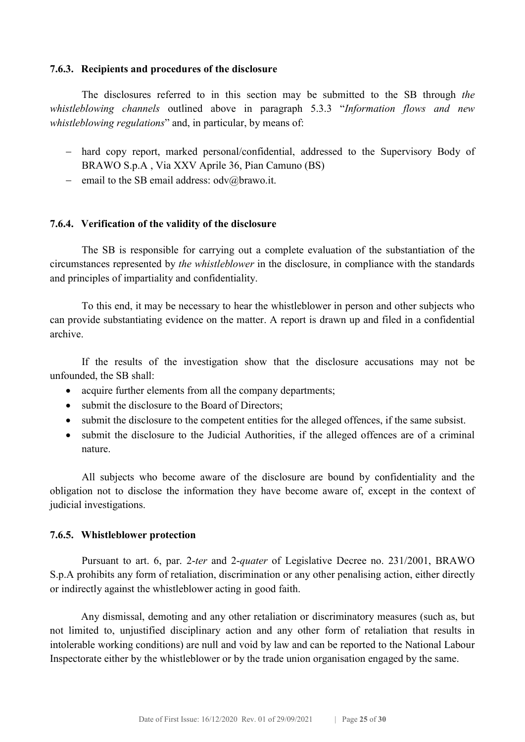#### 7.6.3. Recipients and procedures of the disclosure

 The disclosures referred to in this section may be submitted to the SB through the whistleblowing channels outlined above in paragraph 5.3.3 "Information flows and new whistleblowing regulations" and, in particular, by means of:

- hard copy report, marked personal/confidential, addressed to the Supervisory Body of BRAWO S.p.A , Via XXV Aprile 36, Pian Camuno (BS)
- email to the SB email address:  $\frac{\partial u}{\partial x}$  odv $\frac{\partial u}{\partial y}$

#### 7.6.4. Verification of the validity of the disclosure

 The SB is responsible for carrying out a complete evaluation of the substantiation of the circumstances represented by the whistleblower in the disclosure, in compliance with the standards and principles of impartiality and confidentiality.

 To this end, it may be necessary to hear the whistleblower in person and other subjects who can provide substantiating evidence on the matter. A report is drawn up and filed in a confidential archive.

 If the results of the investigation show that the disclosure accusations may not be unfounded, the SB shall:

- acquire further elements from all the company departments;
- submit the disclosure to the Board of Directors;
- submit the disclosure to the competent entities for the alleged offences, if the same subsist.
- submit the disclosure to the Judicial Authorities, if the alleged offences are of a criminal nature.

 All subjects who become aware of the disclosure are bound by confidentiality and the obligation not to disclose the information they have become aware of, except in the context of judicial investigations.

#### 7.6.5. Whistleblower protection

 Pursuant to art. 6, par. 2-ter and 2-quater of Legislative Decree no. 231/2001, BRAWO S.p.A prohibits any form of retaliation, discrimination or any other penalising action, either directly or indirectly against the whistleblower acting in good faith.

Any dismissal, demoting and any other retaliation or discriminatory measures (such as, but not limited to, unjustified disciplinary action and any other form of retaliation that results in intolerable working conditions) are null and void by law and can be reported to the National Labour Inspectorate either by the whistleblower or by the trade union organisation engaged by the same.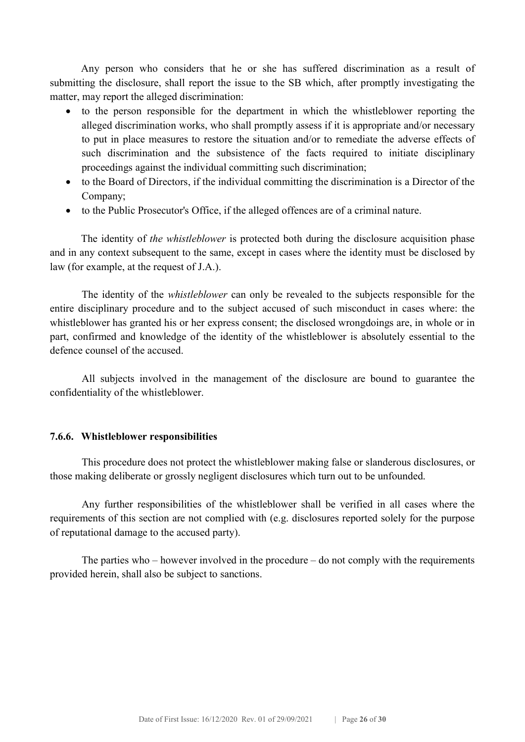Any person who considers that he or she has suffered discrimination as a result of submitting the disclosure, shall report the issue to the SB which, after promptly investigating the matter, may report the alleged discrimination:

- to the person responsible for the department in which the whistleblower reporting the alleged discrimination works, who shall promptly assess if it is appropriate and/or necessary to put in place measures to restore the situation and/or to remediate the adverse effects of such discrimination and the subsistence of the facts required to initiate disciplinary proceedings against the individual committing such discrimination;
- to the Board of Directors, if the individual committing the discrimination is a Director of the Company;
- to the Public Prosecutor's Office, if the alleged offences are of a criminal nature.

The identity of *the whistleblower* is protected both during the disclosure acquisition phase and in any context subsequent to the same, except in cases where the identity must be disclosed by law (for example, at the request of J.A.).

 The identity of the whistleblower can only be revealed to the subjects responsible for the entire disciplinary procedure and to the subject accused of such misconduct in cases where: the whistleblower has granted his or her express consent; the disclosed wrongdoings are, in whole or in part, confirmed and knowledge of the identity of the whistleblower is absolutely essential to the defence counsel of the accused.

 All subjects involved in the management of the disclosure are bound to guarantee the confidentiality of the whistleblower.

#### 7.6.6. Whistleblower responsibilities

 This procedure does not protect the whistleblower making false or slanderous disclosures, or those making deliberate or grossly negligent disclosures which turn out to be unfounded.

 Any further responsibilities of the whistleblower shall be verified in all cases where the requirements of this section are not complied with (e.g. disclosures reported solely for the purpose of reputational damage to the accused party).

 The parties who – however involved in the procedure – do not comply with the requirements provided herein, shall also be subject to sanctions.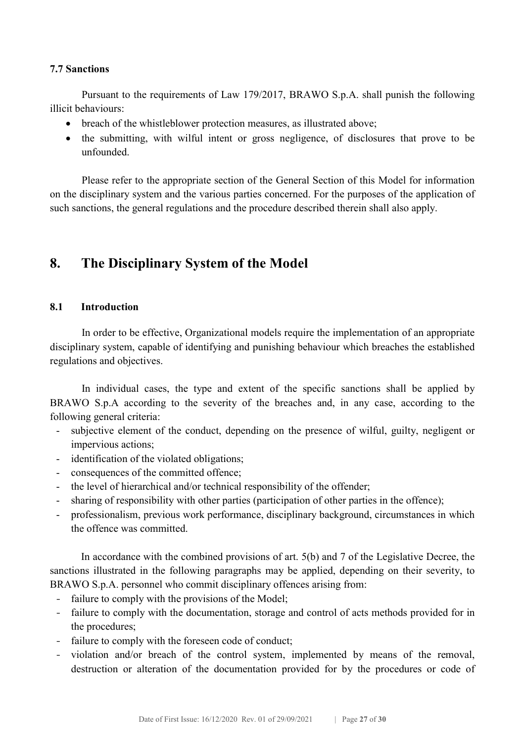#### 7.7 Sanctions

 Pursuant to the requirements of Law 179/2017, BRAWO S.p.A. shall punish the following illicit behaviours:

- breach of the whistleblower protection measures, as illustrated above;
- the submitting, with wilful intent or gross negligence, of disclosures that prove to be unfounded.

 Please refer to the appropriate section of the General Section of this Model for information on the disciplinary system and the various parties concerned. For the purposes of the application of such sanctions, the general regulations and the procedure described therein shall also apply.

## 8. The Disciplinary System of the Model

#### 8.1 Introduction

In order to be effective, Organizational models require the implementation of an appropriate disciplinary system, capable of identifying and punishing behaviour which breaches the established regulations and objectives.

In individual cases, the type and extent of the specific sanctions shall be applied by BRAWO S.p.A according to the severity of the breaches and, in any case, according to the following general criteria:

- subjective element of the conduct, depending on the presence of wilful, guilty, negligent or impervious actions;
- identification of the violated obligations;
- consequences of the committed offence;
- the level of hierarchical and/or technical responsibility of the offender;
- sharing of responsibility with other parties (participation of other parties in the offence);
- professionalism, previous work performance, disciplinary background, circumstances in which the offence was committed.

 In accordance with the combined provisions of art. 5(b) and 7 of the Legislative Decree, the sanctions illustrated in the following paragraphs may be applied, depending on their severity, to BRAWO S.p.A. personnel who commit disciplinary offences arising from:

- failure to comply with the provisions of the Model;
- failure to comply with the documentation, storage and control of acts methods provided for in the procedures;
- failure to comply with the foreseen code of conduct;
- violation and/or breach of the control system, implemented by means of the removal, destruction or alteration of the documentation provided for by the procedures or code of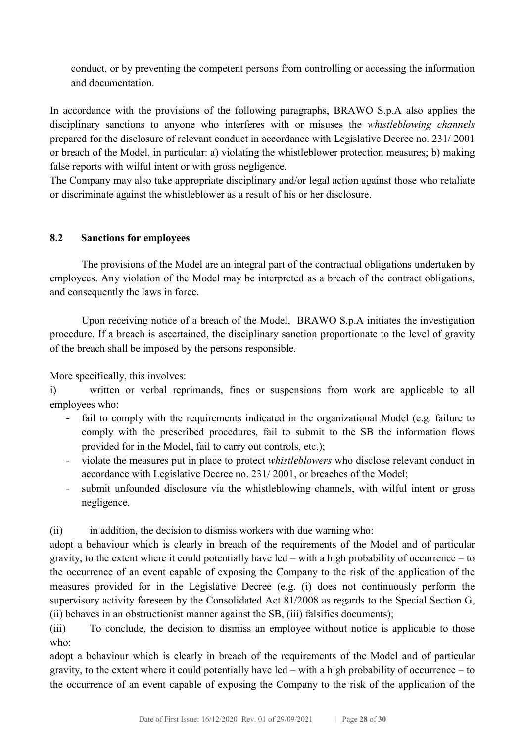conduct, or by preventing the competent persons from controlling or accessing the information and documentation.

In accordance with the provisions of the following paragraphs, BRAWO S.p.A also applies the disciplinary sanctions to anyone who interferes with or misuses the *whistleblowing channels* prepared for the disclosure of relevant conduct in accordance with Legislative Decree no. 231/ 2001 or breach of the Model, in particular: a) violating the whistleblower protection measures; b) making false reports with wilful intent or with gross negligence.

The Company may also take appropriate disciplinary and/or legal action against those who retaliate or discriminate against the whistleblower as a result of his or her disclosure.

#### 8.2 Sanctions for employees

The provisions of the Model are an integral part of the contractual obligations undertaken by employees. Any violation of the Model may be interpreted as a breach of the contract obligations, and consequently the laws in force.

Upon receiving notice of a breach of the Model, BRAWO S.p.A initiates the investigation procedure. If a breach is ascertained, the disciplinary sanction proportionate to the level of gravity of the breach shall be imposed by the persons responsible.

More specifically, this involves:

i) written or verbal reprimands, fines or suspensions from work are applicable to all employees who:

- fail to comply with the requirements indicated in the organizational Model (e.g. failure to comply with the prescribed procedures, fail to submit to the SB the information flows provided for in the Model, fail to carry out controls, etc.);
- violate the measures put in place to protect whistleblowers who disclose relevant conduct in accordance with Legislative Decree no. 231/ 2001, or breaches of the Model;
- submit unfounded disclosure via the whistleblowing channels, with wilful intent or gross negligence.

(ii) in addition, the decision to dismiss workers with due warning who:

adopt a behaviour which is clearly in breach of the requirements of the Model and of particular gravity, to the extent where it could potentially have led – with a high probability of occurrence – to the occurrence of an event capable of exposing the Company to the risk of the application of the measures provided for in the Legislative Decree (e.g. (i) does not continuously perform the supervisory activity foreseen by the Consolidated Act 81/2008 as regards to the Special Section G, (ii) behaves in an obstructionist manner against the SB, (iii) falsifies documents);

(iii) To conclude, the decision to dismiss an employee without notice is applicable to those who:

adopt a behaviour which is clearly in breach of the requirements of the Model and of particular gravity, to the extent where it could potentially have led – with a high probability of occurrence – to the occurrence of an event capable of exposing the Company to the risk of the application of the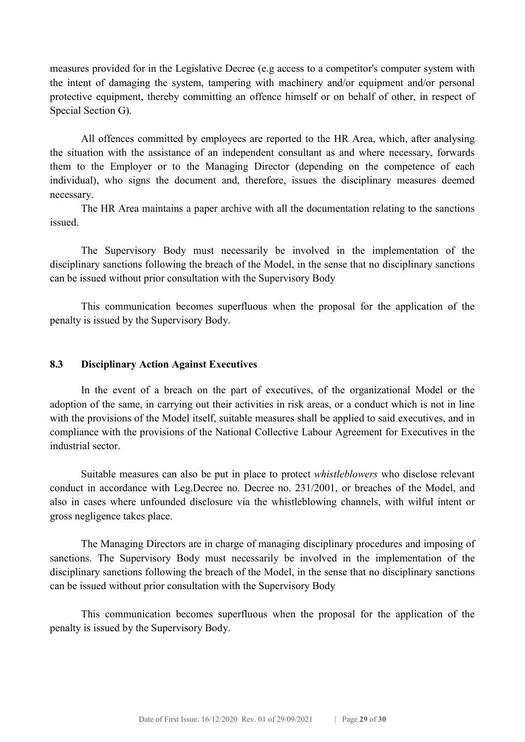measures provided for in the Legislative Decree (e.g access to a competitor's computer system with the intent of damaging the system, tampering with machinery and/or equipment and/or personal protective equipment, thereby committing an offence himself or on behalf of other, in respect of Special Section G).

 All offences committed by employees are reported to the HR Area, which, after analysing the situation with the assistance of an independent consultant as and where necessary, forwards them to the Employer or to the Managing Director (depending on the competence of each individual), who signs the document and, therefore, issues the disciplinary measures deemed necessary.

 The HR Area maintains a paper archive with all the documentation relating to the sanctions issued.

 The Supervisory Body must necessarily be involved in the implementation of the disciplinary sanctions following the breach of the Model, in the sense that no disciplinary sanctions can be issued without prior consultation with the Supervisory Body

 This communication becomes superfluous when the proposal for the application of the penalty is issued by the Supervisory Body.

#### 8.3 Disciplinary Action Against Executives

 In the event of a breach on the part of executives, of the organizational Model or the adoption of the same, in carrying out their activities in risk areas, or a conduct which is not in line with the provisions of the Model itself, suitable measures shall be applied to said executives, and in compliance with the provisions of the National Collective Labour Agreement for Executives in the industrial sector.

Suitable measures can also be put in place to protect whistleblowers who disclose relevant conduct in accordance with Leg.Decree no. Decree no. 231/2001, or breaches of the Model, and also in cases where unfounded disclosure via the whistleblowing channels, with wilful intent or gross negligence takes place.

 The Managing Directors are in charge of managing disciplinary procedures and imposing of sanctions. The Supervisory Body must necessarily be involved in the implementation of the disciplinary sanctions following the breach of the Model, in the sense that no disciplinary sanctions can be issued without prior consultation with the Supervisory Body

 This communication becomes superfluous when the proposal for the application of the penalty is issued by the Supervisory Body.